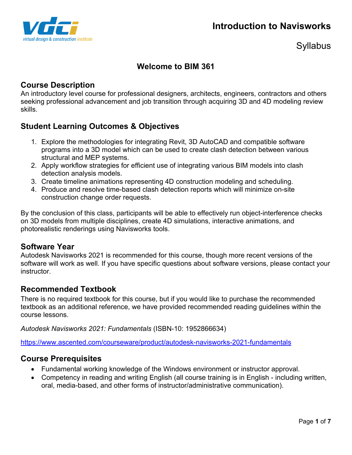



# **Welcome to BIM 361**

## **Course Description**

An introductory level course for professional designers, architects, engineers, contractors and others seeking professional advancement and job transition through acquiring 3D and 4D modeling review skills.

# **Student Learning Outcomes & Objectives**

- 1. Explore the methodologies for integrating Revit, 3D AutoCAD and compatible software programs into a 3D model which can be used to create clash detection between various structural and MEP systems.
- 2. Apply workflow strategies for efficient use of integrating various BIM models into clash detection analysis models.
- 3. Create timeline animations representing 4D construction modeling and scheduling.
- 4. Produce and resolve time-based clash detection reports which will minimize on-site construction change order requests.

By the conclusion of this class, participants will be able to effectively run object-interference checks on 3D models from multiple disciplines, create 4D simulations, interactive animations, and photorealistic renderings using Navisworks tools.

### **Software Year**

Autodesk Navisworks 2021 is recommended for this course, though more recent versions of the software will work as well. If you have specific questions about software versions, please contact your instructor.

## **Recommended Textbook**

There is no required textbook for this course, but if you would like to purchase the recommended textbook as an additional reference, we have provided recommended reading guidelines within the course lessons.

*Autodesk Navisworks 2021: Fundamentals* (ISBN-10: 1952866634)

https://www.ascented.com/courseware/product/autodesk-navisworks-2021-fundamentals

### **Course Prerequisites**

- Fundamental working knowledge of the Windows environment or instructor approval.
- Competency in reading and writing English (all course training is in English including written, oral, media-based, and other forms of instructor/administrative communication).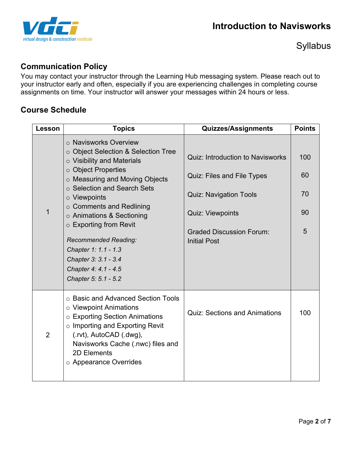

# **Communication Policy**

You may contact your instructor through the Learning Hub messaging system. Please reach out to your instructor early and often, especially if you are experiencing challenges in completing course assignments on time. Your instructor will answer your messages within 24 hours or less.

## **Course Schedule**

| Lesson         | <b>Topics</b>                                                                                                                                                                                                                                                                                                                                                                                                                               | <b>Quizzes/Assignments</b>                                                                                                                                                                  | <b>Points</b>              |
|----------------|---------------------------------------------------------------------------------------------------------------------------------------------------------------------------------------------------------------------------------------------------------------------------------------------------------------------------------------------------------------------------------------------------------------------------------------------|---------------------------------------------------------------------------------------------------------------------------------------------------------------------------------------------|----------------------------|
|                | o Navisworks Overview<br>○ Object Selection & Selection Tree<br>$\circ$ Visibility and Materials<br>○ Object Properties<br>o Measuring and Moving Objects<br>○ Selection and Search Sets<br>$\circ$ Viewpoints<br>$\circ$ Comments and Redlining<br>$\circ$ Animations & Sectioning<br>$\circ$ Exporting from Revit<br>Recommended Reading:<br>Chapter 1: 1.1 - 1.3<br>Chapter 3: 3.1 - 3.4<br>Chapter 4: 4.1 - 4.5<br>Chapter 5: 5.1 - 5.2 | <b>Quiz: Introduction to Navisworks</b><br>Quiz: Files and File Types<br><b>Quiz: Navigation Tools</b><br><b>Quiz: Viewpoints</b><br><b>Graded Discussion Forum:</b><br><b>Initial Post</b> | 100<br>60<br>70<br>90<br>5 |
| $\overline{2}$ | ○ Basic and Advanced Section Tools<br>○ Viewpoint Animations<br>○ Exporting Section Animations<br>$\circ$ Importing and Exporting Revit<br>$(xvt)$ , AutoCAD $(xvgy)$ ,<br>Navisworks Cache (.nwc) files and<br>2D Elements<br>○ Appearance Overrides                                                                                                                                                                                       | <b>Quiz: Sections and Animations</b>                                                                                                                                                        | 100                        |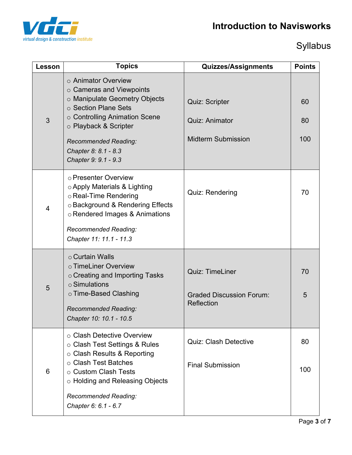# **Introduction to Navisworks**



# Syllabus

| Lesson | <b>Topics</b>                                                                                                                                                                                                                                    | Quizzes/Assignments                                                         | <b>Points</b>   |
|--------|--------------------------------------------------------------------------------------------------------------------------------------------------------------------------------------------------------------------------------------------------|-----------------------------------------------------------------------------|-----------------|
| 3      | ○ Animator Overview<br>$\circ$ Cameras and Viewpoints<br>o Manipulate Geometry Objects<br>○ Section Plane Sets<br>o Controlling Animation Scene<br>○ Playback & Scripter<br>Recommended Reading:<br>Chapter 8: 8.1 - 8.3<br>Chapter 9: 9.1 - 9.3 | <b>Quiz: Scripter</b><br><b>Quiz: Animator</b><br><b>Midterm Submission</b> | 60<br>80<br>100 |
| 4      | o Presenter Overview<br>$\circ$ Apply Materials & Lighting<br>○ Real-Time Rendering<br>o Background & Rendering Effects<br>o Rendered Images & Animations<br>Recommended Reading:<br>Chapter 11: 11.1 - 11.3                                     | Quiz: Rendering                                                             | 70              |
| 5      | o Curtain Walls<br>o TimeLiner Overview<br>o Creating and Importing Tasks<br>$\circ$ Simulations<br>○ Time-Based Clashing<br>Recommended Reading:<br>Chapter 10: 10.1 - 10.5                                                                     | <b>Quiz: TimeLiner</b><br><b>Graded Discussion Forum:</b><br>Reflection     | 70<br>5         |
| 6      | ○ Clash Detective Overview<br>○ Clash Test Settings & Rules<br>$\circ$ Clash Results & Reporting<br>○ Clash Test Batches<br>○ Custom Clash Tests<br>○ Holding and Releasing Objects<br>Recommended Reading:<br>Chapter 6: 6.1 - 6.7              | <b>Quiz: Clash Detective</b><br><b>Final Submission</b>                     | 80<br>100       |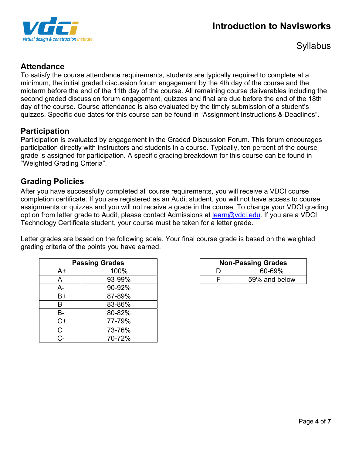



# **Attendance**

To satisfy the course attendance requirements, students are typically required to complete at a minimum, the initial graded discussion forum engagement by the 4th day of the course and the midterm before the end of the 11th day of the course. All remaining course deliverables including the second graded discussion forum engagement, quizzes and final are due before the end of the 18th day of the course. Course attendance is also evaluated by the timely submission of a student's quizzes. Specific due dates for this course can be found in "Assignment Instructions & Deadlines".

### **Participation**

Participation is evaluated by engagement in the Graded Discussion Forum. This forum encourages participation directly with instructors and students in a course. Typically, ten percent of the course grade is assigned for participation. A specific grading breakdown for this course can be found in "Weighted Grading Criteria".

## **Grading Policies**

After you have successfully completed all course requirements, you will receive a VDCI course completion certificate. If you are registered as an Audit student, you will not have access to course assignments or quizzes and you will not receive a grade in the course. To change your VDCI grading option from letter grade to Audit, please contact Admissions at learn@vdci.edu. If you are a VDCI Technology Certificate student, your course must be taken for a letter grade.

Letter grades are based on the following scale. Your final course grade is based on the weighted grading criteria of the points you have earned.

| <b>Passing Grades</b> |        |  |  |
|-----------------------|--------|--|--|
| A+                    | 100%   |  |  |
| A                     | 93-99% |  |  |
| А-                    | 90-92% |  |  |
| B+                    | 87-89% |  |  |
| B                     | 83-86% |  |  |
| В-                    | 80-82% |  |  |
| $C+$                  | 77-79% |  |  |
| C.                    | 73-76% |  |  |
| r.,                   | 70-72% |  |  |

| <b>Non-Passing Grades</b> |               |  |  |
|---------------------------|---------------|--|--|
|                           | 60-69%        |  |  |
|                           | 59% and below |  |  |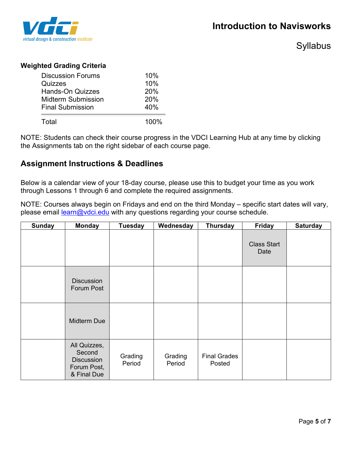

#### **Weighted Grading Criteria**

| 20%<br>20%  |
|-------------|
| 40%<br>100% |
|             |

NOTE: Students can check their course progress in the VDCI Learning Hub at any time by clicking the Assignments tab on the right sidebar of each course page.

### **Assignment Instructions & Deadlines**

Below is a calendar view of your 18-day course, please use this to budget your time as you work through Lessons 1 through 6 and complete the required assignments.

NOTE: Courses always begin on Fridays and end on the third Monday – specific start dates will vary, please email learn@vdci.edu with any questions regarding your course schedule.

| <b>Sunday</b> | <b>Monday</b>                                                             | <b>Tuesday</b>    | Wednesday         | <b>Thursday</b>               | <b>Friday</b>              | <b>Saturday</b> |
|---------------|---------------------------------------------------------------------------|-------------------|-------------------|-------------------------------|----------------------------|-----------------|
|               |                                                                           |                   |                   |                               | <b>Class Start</b><br>Date |                 |
|               | <b>Discussion</b><br>Forum Post                                           |                   |                   |                               |                            |                 |
|               | Midterm Due                                                               |                   |                   |                               |                            |                 |
|               | All Quizzes,<br>Second<br><b>Discussion</b><br>Forum Post,<br>& Final Due | Grading<br>Period | Grading<br>Period | <b>Final Grades</b><br>Posted |                            |                 |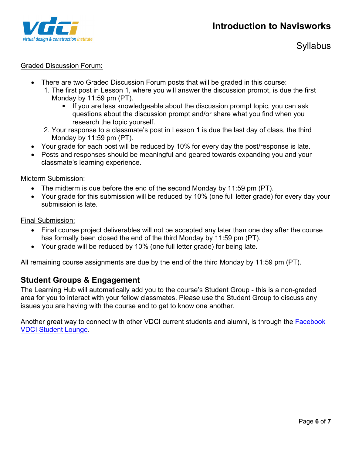

#### Graded Discussion Forum:

- There are two Graded Discussion Forum posts that will be graded in this course:
	- 1. The first post in Lesson 1, where you will answer the discussion prompt, is due the first Monday by 11:59 pm (PT).
		- If you are less knowledgeable about the discussion prompt topic, you can ask questions about the discussion prompt and/or share what you find when you research the topic yourself.
	- 2. Your response to a classmate's post in Lesson 1 is due the last day of class, the third Monday by 11:59 pm (PT).
- Your grade for each post will be reduced by 10% for every day the post/response is late.
- Posts and responses should be meaningful and geared towards expanding you and your classmate's learning experience.

Midterm Submission:

- The midterm is due before the end of the second Monday by 11:59 pm (PT).
- Your grade for this submission will be reduced by 10% (one full letter grade) for every day your submission is late.

Final Submission:

- Final course project deliverables will not be accepted any later than one day after the course has formally been closed the end of the third Monday by 11:59 pm (PT).
- Your grade will be reduced by 10% (one full letter grade) for being late.

All remaining course assignments are due by the end of the third Monday by 11:59 pm (PT).

### **Student Groups & Engagement**

The Learning Hub will automatically add you to the course's Student Group - this is a non-graded area for you to interact with your fellow classmates. Please use the Student Group to discuss any issues you are having with the course and to get to know one another.

Another great way to connect with other VDCI current students and alumni, is through the **Facebook** VDCI Student Lounge.